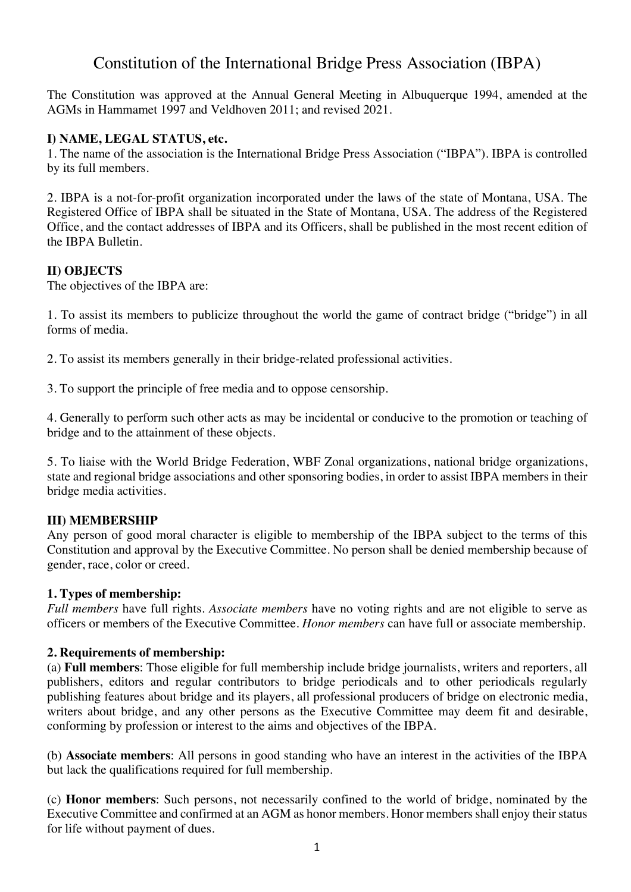# Constitution of the International Bridge Press Association (IBPA)

The Constitution was approved at the Annual General Meeting in Albuquerque 1994, amended at the AGMs in Hammamet 1997 and Veldhoven 2011; and revised 2021.

# **I) NAME, LEGAL STATUS, etc.**

1. The name of the association is the International Bridge Press Association ("IBPA"). IBPA is controlled by its full members.

2. IBPA is a not-for-profit organization incorporated under the laws of the state of Montana, USA. The Registered Office of IBPA shall be situated in the State of Montana, USA. The address of the Registered Office, and the contact addresses of IBPA and its Officers, shall be published in the most recent edition of the IBPA Bulletin.

# **II) OBJECTS**

The objectives of the IBPA are:

1. To assist its members to publicize throughout the world the game of contract bridge ("bridge") in all forms of media.

2. To assist its members generally in their bridge-related professional activities.

3. To support the principle of free media and to oppose censorship.

4. Generally to perform such other acts as may be incidental or conducive to the promotion or teaching of bridge and to the attainment of these objects.

5. To liaise with the World Bridge Federation, WBF Zonal organizations, national bridge organizations, state and regional bridge associations and other sponsoring bodies, in order to assist IBPA members in their bridge media activities.

# **III) MEMBERSHIP**

Any person of good moral character is eligible to membership of the IBPA subject to the terms of this Constitution and approval by the Executive Committee. No person shall be denied membership because of gender, race, color or creed.

#### **1. Types of membership:**

*Full members* have full rights. *Associate members* have no voting rights and are not eligible to serve as officers or members of the Executive Committee. *Honor members* can have full or associate membership.

#### **2. Requirements of membership:**

(a) **Full members**: Those eligible for full membership include bridge journalists, writers and reporters, all publishers, editors and regular contributors to bridge periodicals and to other periodicals regularly publishing features about bridge and its players, all professional producers of bridge on electronic media, writers about bridge, and any other persons as the Executive Committee may deem fit and desirable, conforming by profession or interest to the aims and objectives of the IBPA.

(b) **Associate members**: All persons in good standing who have an interest in the activities of the IBPA but lack the qualifications required for full membership.

(c) **Honor members**: Such persons, not necessarily confined to the world of bridge, nominated by the Executive Committee and confirmed at an AGM as honor members. Honor members shall enjoy their status for life without payment of dues.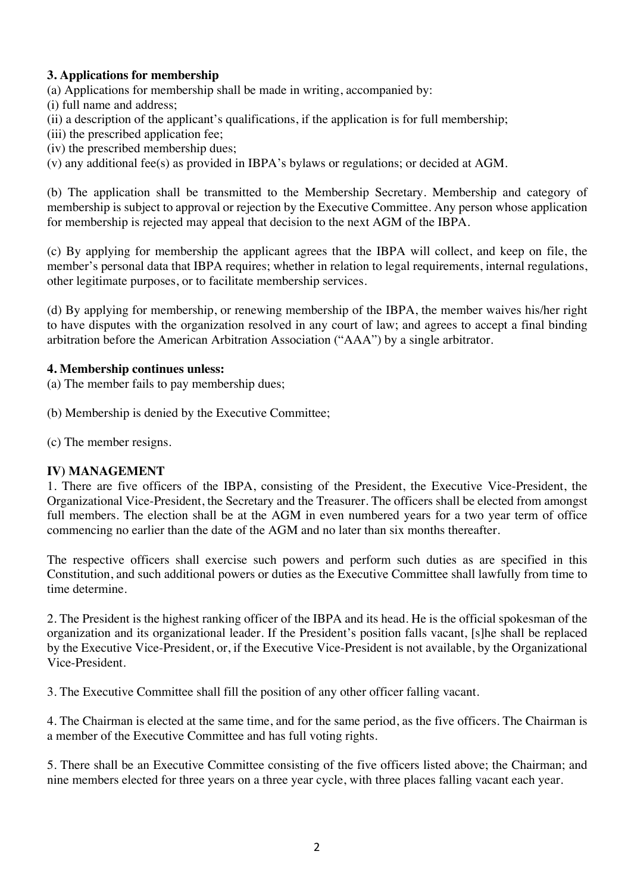# **3. Applications for membership**

(a) Applications for membership shall be made in writing, accompanied by:

(i) full name and address;

(ii) a description of the applicant's qualifications, if the application is for full membership;

(iii) the prescribed application fee;

(iv) the prescribed membership dues;

(v) any additional fee(s) as provided in IBPA's bylaws or regulations; or decided at AGM.

(b) The application shall be transmitted to the Membership Secretary. Membership and category of membership is subject to approval or rejection by the Executive Committee. Any person whose application for membership is rejected may appeal that decision to the next AGM of the IBPA.

(c) By applying for membership the applicant agrees that the IBPA will collect, and keep on file, the member's personal data that IBPA requires; whether in relation to legal requirements, internal regulations, other legitimate purposes, or to facilitate membership services.

(d) By applying for membership, or renewing membership of the IBPA, the member waives his/her right to have disputes with the organization resolved in any court of law; and agrees to accept a final binding arbitration before the American Arbitration Association ("AAA") by a single arbitrator.

### **4. Membership continues unless:**

(a) The member fails to pay membership dues;

(b) Membership is denied by the Executive Committee;

(c) The member resigns.

#### **IV) MANAGEMENT**

1. There are five officers of the IBPA, consisting of the President, the Executive Vice-President, the Organizational Vice-President, the Secretary and the Treasurer. The officers shall be elected from amongst full members. The election shall be at the AGM in even numbered years for a two year term of office commencing no earlier than the date of the AGM and no later than six months thereafter.

The respective officers shall exercise such powers and perform such duties as are specified in this Constitution, and such additional powers or duties as the Executive Committee shall lawfully from time to time determine.

2. The President is the highest ranking officer of the IBPA and its head. He is the official spokesman of the organization and its organizational leader. If the President's position falls vacant, [s]he shall be replaced by the Executive Vice-President, or, if the Executive Vice-President is not available, by the Organizational Vice-President.

3. The Executive Committee shall fill the position of any other officer falling vacant.

4. The Chairman is elected at the same time, and for the same period, as the five officers. The Chairman is a member of the Executive Committee and has full voting rights.

5. There shall be an Executive Committee consisting of the five officers listed above; the Chairman; and nine members elected for three years on a three year cycle, with three places falling vacant each year.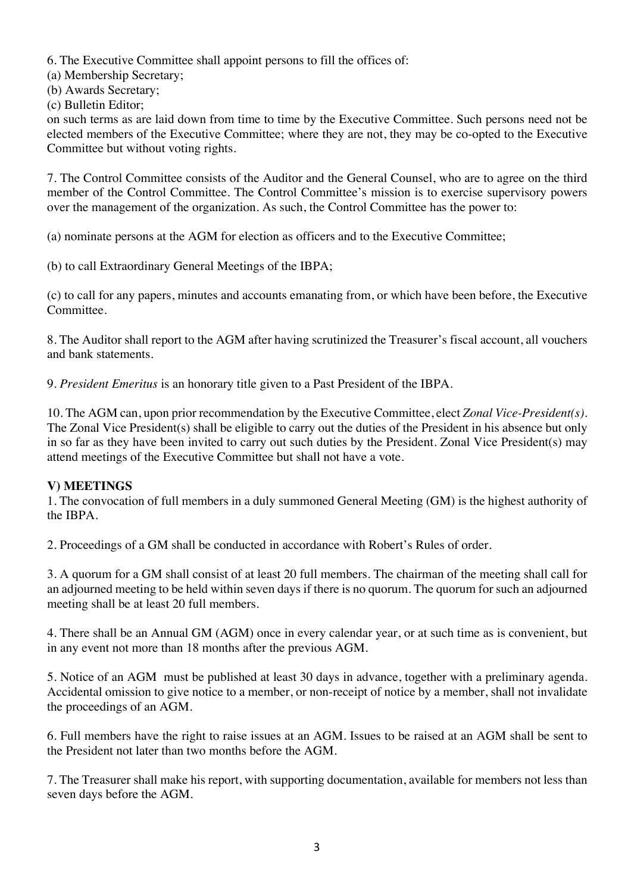6. The Executive Committee shall appoint persons to fill the offices of:

(a) Membership Secretary;

(b) Awards Secretary;

(c) Bulletin Editor;

on such terms as are laid down from time to time by the Executive Committee. Such persons need not be elected members of the Executive Committee; where they are not, they may be co-opted to the Executive Committee but without voting rights.

7. The Control Committee consists of the Auditor and the General Counsel, who are to agree on the third member of the Control Committee. The Control Committee's mission is to exercise supervisory powers over the management of the organization. As such, the Control Committee has the power to:

(a) nominate persons at the AGM for election as officers and to the Executive Committee;

(b) to call Extraordinary General Meetings of the IBPA;

(c) to call for any papers, minutes and accounts emanating from, or which have been before, the Executive Committee.

8. The Auditor shall report to the AGM after having scrutinized the Treasurer's fiscal account, all vouchers and bank statements.

9. *President Emeritus* is an honorary title given to a Past President of the IBPA.

10. The AGM can, upon prior recommendation by the Executive Committee, elect *Zonal Vice-President(s)*. The Zonal Vice President(s) shall be eligible to carry out the duties of the President in his absence but only in so far as they have been invited to carry out such duties by the President. Zonal Vice President(s) may attend meetings of the Executive Committee but shall not have a vote.

# **V) MEETINGS**

1. The convocation of full members in a duly summoned General Meeting (GM) is the highest authority of the IBPA.

2. Proceedings of a GM shall be conducted in accordance with Robert's Rules of order.

3. A quorum for a GM shall consist of at least 20 full members. The chairman of the meeting shall call for an adjourned meeting to be held within seven days if there is no quorum. The quorum for such an adjourned meeting shall be at least 20 full members.

4. There shall be an Annual GM (AGM) once in every calendar year, or at such time as is convenient, but in any event not more than 18 months after the previous AGM.

5. Notice of an AGM must be published at least 30 days in advance, together with a preliminary agenda. Accidental omission to give notice to a member, or non-receipt of notice by a member, shall not invalidate the proceedings of an AGM.

6. Full members have the right to raise issues at an AGM. Issues to be raised at an AGM shall be sent to the President not later than two months before the AGM.

7. The Treasurer shall make his report, with supporting documentation, available for members not less than seven days before the AGM.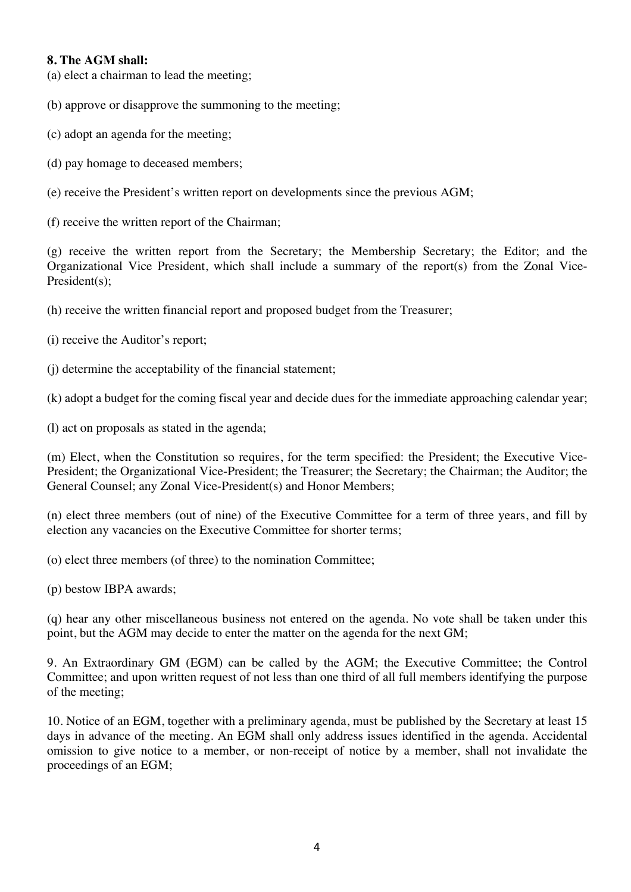### **8. The AGM shall:**

(a) elect a chairman to lead the meeting;

(b) approve or disapprove the summoning to the meeting;

- (c) adopt an agenda for the meeting;
- (d) pay homage to deceased members;

(e) receive the President's written report on developments since the previous AGM;

(f) receive the written report of the Chairman;

(g) receive the written report from the Secretary; the Membership Secretary; the Editor; and the Organizational Vice President, which shall include a summary of the report(s) from the Zonal Vice-President(s);

(h) receive the written financial report and proposed budget from the Treasurer;

- (i) receive the Auditor's report;
- (j) determine the acceptability of the financial statement;

(k) adopt a budget for the coming fiscal year and decide dues for the immediate approaching calendar year;

(l) act on proposals as stated in the agenda;

(m) Elect, when the Constitution so requires, for the term specified: the President; the Executive Vice-President; the Organizational Vice-President; the Treasurer; the Secretary; the Chairman; the Auditor; the General Counsel; any Zonal Vice-President(s) and Honor Members;

(n) elect three members (out of nine) of the Executive Committee for a term of three years, and fill by election any vacancies on the Executive Committee for shorter terms;

(o) elect three members (of three) to the nomination Committee;

(p) bestow IBPA awards;

(q) hear any other miscellaneous business not entered on the agenda. No vote shall be taken under this point, but the AGM may decide to enter the matter on the agenda for the next GM;

9. An Extraordinary GM (EGM) can be called by the AGM; the Executive Committee; the Control Committee; and upon written request of not less than one third of all full members identifying the purpose of the meeting;

10. Notice of an EGM, together with a preliminary agenda, must be published by the Secretary at least 15 days in advance of the meeting. An EGM shall only address issues identified in the agenda. Accidental omission to give notice to a member, or non-receipt of notice by a member, shall not invalidate the proceedings of an EGM;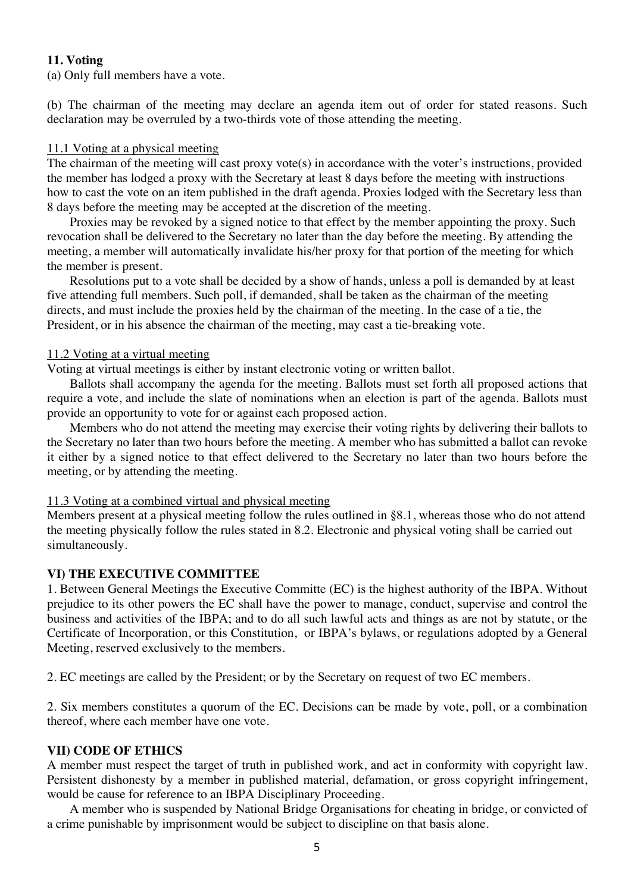# **11. Voting**

(a) Only full members have a vote.

(b) The chairman of the meeting may declare an agenda item out of order for stated reasons. Such declaration may be overruled by a two-thirds vote of those attending the meeting.

#### 11.1 Voting at a physical meeting

The chairman of the meeting will cast proxy vote(s) in accordance with the voter's instructions, provided the member has lodged a proxy with the Secretary at least 8 days before the meeting with instructions how to cast the vote on an item published in the draft agenda. Proxies lodged with the Secretary less than 8 days before the meeting may be accepted at the discretion of the meeting.

Proxies may be revoked by a signed notice to that effect by the member appointing the proxy. Such revocation shall be delivered to the Secretary no later than the day before the meeting. By attending the meeting, a member will automatically invalidate his/her proxy for that portion of the meeting for which the member is present.

Resolutions put to a vote shall be decided by a show of hands, unless a poll is demanded by at least five attending full members. Such poll, if demanded, shall be taken as the chairman of the meeting directs, and must include the proxies held by the chairman of the meeting. In the case of a tie, the President, or in his absence the chairman of the meeting, may cast a tie-breaking vote.

#### 11.2 Voting at a virtual meeting

Voting at virtual meetings is either by instant electronic voting or written ballot.

Ballots shall accompany the agenda for the meeting. Ballots must set forth all proposed actions that require a vote, and include the slate of nominations when an election is part of the agenda. Ballots must provide an opportunity to vote for or against each proposed action.

Members who do not attend the meeting may exercise their voting rights by delivering their ballots to the Secretary no later than two hours before the meeting. A member who has submitted a ballot can revoke it either by a signed notice to that effect delivered to the Secretary no later than two hours before the meeting, or by attending the meeting.

#### 11.3 Voting at a combined virtual and physical meeting

Members present at a physical meeting follow the rules outlined in §8.1, whereas those who do not attend the meeting physically follow the rules stated in 8.2. Electronic and physical voting shall be carried out simultaneously.

#### **VI) THE EXECUTIVE COMMITTEE**

1. Between General Meetings the Executive Committe (EC) is the highest authority of the IBPA. Without prejudice to its other powers the EC shall have the power to manage, conduct, supervise and control the business and activities of the IBPA; and to do all such lawful acts and things as are not by statute, or the Certificate of Incorporation, or this Constitution, or IBPA's bylaws, or regulations adopted by a General Meeting, reserved exclusively to the members.

2. EC meetings are called by the President; or by the Secretary on request of two EC members.

2. Six members constitutes a quorum of the EC. Decisions can be made by vote, poll, or a combination thereof, where each member have one vote.

#### **VII) CODE OF ETHICS**

A member must respect the target of truth in published work, and act in conformity with copyright law. Persistent dishonesty by a member in published material, defamation, or gross copyright infringement, would be cause for reference to an IBPA Disciplinary Proceeding.

A member who is suspended by National Bridge Organisations for cheating in bridge, or convicted of a crime punishable by imprisonment would be subject to discipline on that basis alone.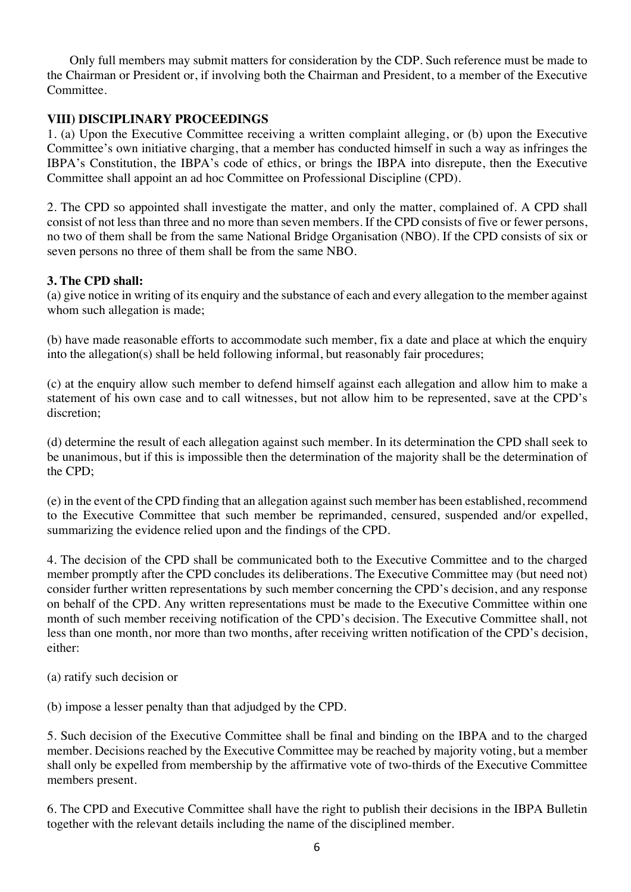Only full members may submit matters for consideration by the CDP. Such reference must be made to the Chairman or President or, if involving both the Chairman and President, to a member of the Executive **Committee** 

# **VIII) DISCIPLINARY PROCEEDINGS**

1. (a) Upon the Executive Committee receiving a written complaint alleging, or (b) upon the Executive Committee's own initiative charging, that a member has conducted himself in such a way as infringes the IBPA's Constitution, the IBPA's code of ethics, or brings the IBPA into disrepute, then the Executive Committee shall appoint an ad hoc Committee on Professional Discipline (CPD).

2. The CPD so appointed shall investigate the matter, and only the matter, complained of. A CPD shall consist of not less than three and no more than seven members. If the CPD consists of five or fewer persons, no two of them shall be from the same National Bridge Organisation (NBO). If the CPD consists of six or seven persons no three of them shall be from the same NBO.

# **3. The CPD shall:**

(a) give notice in writing of its enquiry and the substance of each and every allegation to the member against whom such allegation is made;

(b) have made reasonable efforts to accommodate such member, fix a date and place at which the enquiry into the allegation(s) shall be held following informal, but reasonably fair procedures;

(c) at the enquiry allow such member to defend himself against each allegation and allow him to make a statement of his own case and to call witnesses, but not allow him to be represented, save at the CPD's discretion;

(d) determine the result of each allegation against such member. In its determination the CPD shall seek to be unanimous, but if this is impossible then the determination of the majority shall be the determination of the CPD;

(e) in the event of the CPD finding that an allegation against such member has been established, recommend to the Executive Committee that such member be reprimanded, censured, suspended and/or expelled, summarizing the evidence relied upon and the findings of the CPD.

4. The decision of the CPD shall be communicated both to the Executive Committee and to the charged member promptly after the CPD concludes its deliberations. The Executive Committee may (but need not) consider further written representations by such member concerning the CPD's decision, and any response on behalf of the CPD. Any written representations must be made to the Executive Committee within one month of such member receiving notification of the CPD's decision. The Executive Committee shall, not less than one month, nor more than two months, after receiving written notification of the CPD's decision, either:

(a) ratify such decision or

(b) impose a lesser penalty than that adjudged by the CPD.

5. Such decision of the Executive Committee shall be final and binding on the IBPA and to the charged member. Decisions reached by the Executive Committee may be reached by majority voting, but a member shall only be expelled from membership by the affirmative vote of two-thirds of the Executive Committee members present.

6. The CPD and Executive Committee shall have the right to publish their decisions in the IBPA Bulletin together with the relevant details including the name of the disciplined member.